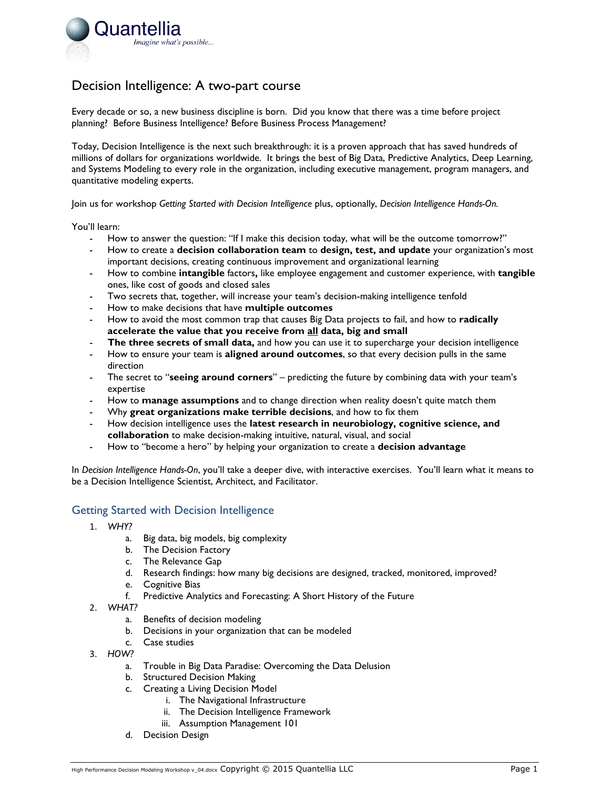

## Decision Intelligence: A two-part course

Every decade or so, a new business discipline is born. Did you know that there was a time before project planning? Before Business Intelligence? Before Business Process Management?

Today, Decision Intelligence is the next such breakthrough: it is a proven approach that has saved hundreds of millions of dollars for organizations worldwide. It brings the best of Big Data, Predictive Analytics, Deep Learning, and Systems Modeling to every role in the organization, including executive management, program managers, and quantitative modeling experts.

Join us for workshop *Getting Started with Decision Intelligence* plus, optionally, *Decision Intelligence Hands-On.* 

You'll learn:

- How to answer the question: "If I make this decision today, what will be the outcome tomorrow?"
- How to create a **decision collaboration team** to **design, test, and update** your organization's most important decisions, creating continuous improvement and organizational learning
- How to combine **intangible** factors**,** like employee engagement and customer experience, with **tangible** ones, like cost of goods and closed sales
- Two secrets that, together, will increase your team's decision-making intelligence tenfold
- How to make decisions that have **multiple outcomes**
- How to avoid the most common trap that causes Big Data projects to fail, and how to **radically accelerate the value that you receive from all data, big and small**
- **The three secrets of small data,** and how you can use it to supercharge your decision intelligence
- How to ensure your team is **aligned around outcomes**, so that every decision pulls in the same direction
- The secret to "**seeing around corners**" predicting the future by combining data with your team's expertise
- How to **manage assumptions** and to change direction when reality doesn't quite match them
- Why **great organizations make terrible decisions**, and how to fix them
- How decision intelligence uses the **latest research in neurobiology, cognitive science, and collaboration** to make decision-making intuitive, natural, visual, and social
- How to "become a hero" by helping your organization to create a **decision advantage**

In *Decision Intelligence Hands-On*, you'll take a deeper dive, with interactive exercises. You'll learn what it means to be a Decision Intelligence Scientist, Architect, and Facilitator.

## Getting Started with Decision Intelligence

- 1. *WHY?*
	- a. Big data, big models, big complexity
	- b. The Decision Factory
	- c. The Relevance Gap
	- d. Research findings: how many big decisions are designed, tracked, monitored, improved?
	- e. Cognitive Bias
	- f. Predictive Analytics and Forecasting: A Short History of the Future
- 2. *WHAT?*
	- a. Benefits of decision modeling
	- b. Decisions in your organization that can be modeled
	- c. Case studies
- 3. *HOW?*
	- a. Trouble in Big Data Paradise: Overcoming the Data Delusion
	- b. Structured Decision Making
	- c. Creating a Living Decision Model
		- i. The Navigational Infrastructure
		- ii. The Decision Intelligence Framework
		- iii. Assumption Management 101
	- d. Decision Design